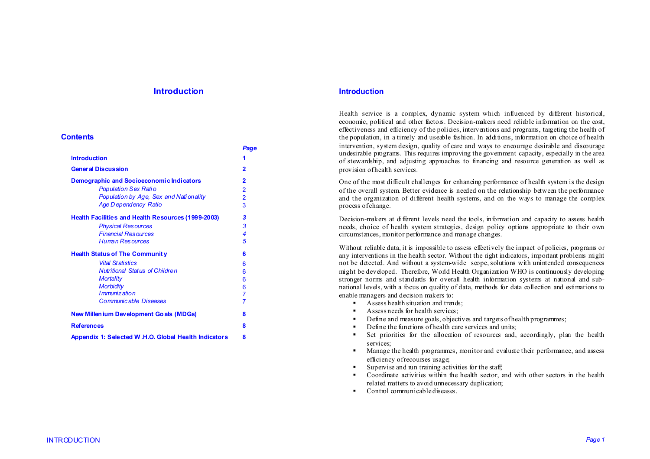# **Introduction**

#### **Contents**

|                                                           | Page                    |
|-----------------------------------------------------------|-------------------------|
| <b>Introduction</b>                                       | 1                       |
| <b>General Discussion</b>                                 | $\overline{2}$          |
| Demographic and Socioeconomic Indicators                  | $\overline{2}$          |
| Population Sex Ratio                                      | $\overline{2}$          |
| Population by Age, Sex and Nationality                    | $\overline{\mathbf{2}}$ |
| Age Dependency Ratio                                      | 3                       |
| <b>Health Facilities and Health Resources (1999-2003)</b> | 3                       |
| <b>Physical Resources</b>                                 | 3                       |
| <b>Financial Resources</b>                                | 4                       |
| <b>Human Resources</b>                                    | 5                       |
| <b>Health Status of The Community</b>                     | 6                       |
| <b>Vital Statistics</b>                                   | 6                       |
| <b>Nutritional Status of Children</b>                     | 6                       |
| <b>Mortality</b>                                          | 6                       |
| <b>Morbidity</b>                                          | 6                       |
| I mmuniz ation                                            | $\overline{7}$          |
| <b>Communicable Diseases</b>                              | $\overline{7}$          |
| <b>New Millen ium Development Goals (MDGs)</b>            | 8                       |
| <b>References</b>                                         | 8                       |
| Appendix 1: Selected W.H.O. Global Health Indicators      | 8                       |

### **Introduction**

Health service is a complex, dynamic system which influenced by different historical, economic, political and other factors. Decision-makers need reliable information on the cost, effectiveness and efficiency of the policies, interventions and programs, targeting the health of the population, in a timely and useable fashion. In additions, information on choice of health intervention, system design, quality of care and ways to encourage desirable and discourage undesirable programs. This requires improving the government capacity, especially in the area of stewardship, and adjusting approaches to financing and resource generation as well as provision of health services.

One of the most difficult challenges for enhancing performance of health system is the design of the overall system. Better evidence is needed on the relationship between the performance and the organization of different health systems, and on the ways to manage the complex process of change.

Decision-makers at different levels need the tools, information and capacity to assess health needs, choice of health system strategies, design policy options appropriate to their own circumstances, monitor performance and manage changes.

Without reliable data, it is impossible to assess effectively the impact of policies, programs or any interventions in the health sector. Without the right indicators, important problems might not be detected. And without a system-wide scope, solutions with unintended consequences might be developed. Therefore, World Health Organization WHO is continuously developing stronger norms and standards for overall health information systems at national and subnational levels, with a focus on quality of data, methods for data collection and estimations to enable managers and decision makers to:

- $\blacksquare$ Assess health situation and trends;
- Assess needs for health services;
- $\blacksquare$ Define and measure goals, objectives and targets of health programmes;
- Define the functions of health care services and units;
- $\blacksquare$ Set priorities for the allocation of resources and, accordingly, plan the health services;
- $\mathbf{u}$  ,  $\mathbf{u}$  Manage the health programmes, monitor and evaluate their performance, and assess efficiency of recourses usage;
- n Supervise and run training activities for the staff;
- Coordinate activities within the health sector, and with other sectors in the health related matters to avoid unnecessary duplication;
- Control communicable diseases.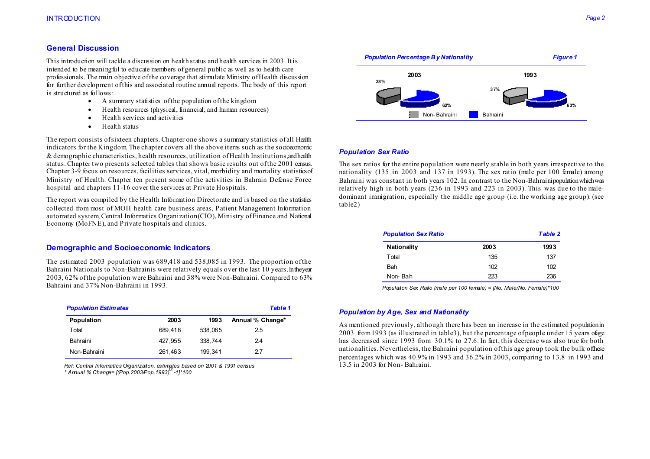## **General Discussion**

This introduction will tackle a discussion on health status and health services in 2003. It is intended to be meaningful to educate members of general public as well as to health care professionals. The main objective of the coverage that stimulate Ministry of Health discussion for further development of this and associated routine annual reports. The body of this report is structured as follows:

- A summary statistics of the population of the kingdom
- •Health resources (physical, financial, and human resources)
- •Health services and activities
- •Health status

The report consists of sixteen chapters. Chapter one shows a summary statistics of all Health indicators for the Kingdom. The chapter covers all the above items such as the socioeconomic & demographic characteristics, health resources, utilization of Health Institutions, and health status. Chapter two presents selected tables that shows basic results out of the 2001 census. Chapter 3-9 focus on resources, facilities services, vital, morbidity and mortality statistics of Ministry of Health. Chapter ten present some of the activities in Bahrain Defense Force hospital and chapters 11-16 cover the services at Private Hospitals.

The report was compiled by the Health Information Directorate and is based on the statistics collected from most of MOH health care business areas, Patient Management Information automated system, Central Informatics Organization(CIO), Ministry of Finance and National Economy (MoFNE), and Private hospitals and clinics.

# **Demographic and Socioeconomic Indicators**

The estimated 2003 population was 689,418 and 538,085 in 1993. The proportion of the Bahraini Nationals to Non-Bahrainis were relatively equals over the last 10 years. In the year 2003, 62% of the population were Bahraini and 38% were Non-Bahraini. Compared to 63% Bahraini and 37% Non-Bahraini in 1993.

| <b>Population Estimates</b> |         |         | <b>Table 1</b>   |
|-----------------------------|---------|---------|------------------|
| Population                  | 2003    | 1993    | Annual % Change* |
| Total                       | 689.418 | 538.085 | 2.5              |
| Bahraini                    | 427.955 | 338.744 | 2.4              |
| Non-Bahraini                | 261,463 | 199.341 | 27               |

*Ref: Central Informatics Organization, estimates based on 2001 & 1991 census \* Annual % Change= [(Pop.2003/Pop.1993)1/t -1]\*100* 



#### *Population Sex Ratio*

The sex ratios for the entire population were nearly stable in both years irrespective to the nationality (135 in 2003 and 137 in 1993). The sex ratio (male per 100 female) among Bahraini was constant in both years 102. In contrast to the Non-Bahraini population which was relatively high in both years (236 in 1993 and 223 in 2003). This was due to the maledominant immigration, especially the middle age group (i.e. the working age group). (see table2)

| <b>Population Sex Ratio</b> |      | Table 2 |
|-----------------------------|------|---------|
| Nationality                 | 2003 | 1993    |
| Total                       | 135  | 137     |
| Bah                         | 102  | 102     |
| Non-Bah                     | 223  | 236     |

 *Population Sex Ratio (male per 100 female) = (No. Male/No. Female)\*100* 

## *Population by Age, Sex and Nationality*

As mentioned previously, although there has been an increase in the estimated population in  $2003$  from 1993 (as illustrated in table 3), but the percentage of people under 15 years of age has decreased since 1993 from 30.1% to 27.6. In fact, this decrease was also true for both nationalities. Nevertheless, the Bahraini population of this age group took the bulk of these percentages which was 40.9% in 1993 and 36.2% in 2003, comparing to 13.8 in 1993 and 13.5 in 2003 for Non- Bahraini.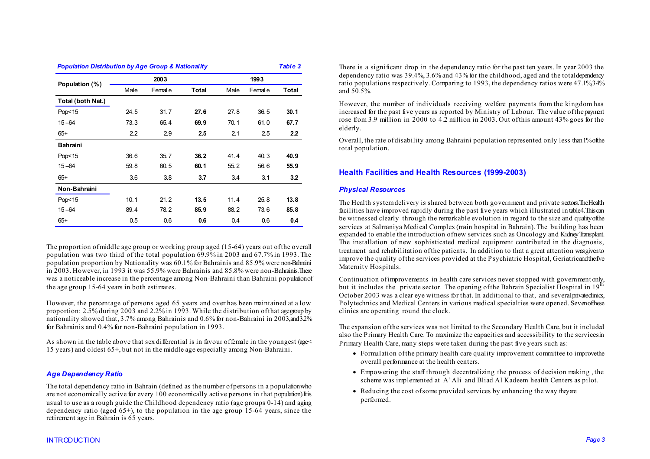| <b>Population Distribution by Age Group &amp; Nationality</b> |      |         |       |      |         | Table 3 |
|---------------------------------------------------------------|------|---------|-------|------|---------|---------|
|                                                               |      | 2003    |       |      | 1993    |         |
| Population (%)                                                | Male | Femal e | Total | Male | Femal e | Total   |
| Total (both Nat.)                                             |      |         |       |      |         |         |
| Pop<15                                                        | 24.5 | 31.7    | 27.6  | 27.8 | 36.5    | 30.1    |
| $15 - 64$                                                     | 73.3 | 65.4    | 69.9  | 70.1 | 61.0    | 67.7    |
| $65+$                                                         | 2.2  | 2.9     | 2.5   | 2.1  | 2.5     | 2.2     |
| <b>Bahraini</b>                                               |      |         |       |      |         |         |
| Pop<15                                                        | 36.6 | 35.7    | 36.2  | 41.4 | 40.3    | 40.9    |
| $15 - 64$                                                     | 59.8 | 60.5    | 60.1  | 55.2 | 56.6    | 55.9    |
| $65+$                                                         | 3.6  | 3.8     | 3.7   | 3.4  | 3.1     | 3.2     |
| Non-Bahraini                                                  |      |         |       |      |         |         |
| Pop <sub>15</sub>                                             | 10.1 | 21.2    | 13.5  | 11.4 | 25.8    | 13.8    |
| $15 - 64$                                                     | 89.4 | 78.2    | 85.9  | 88.2 | 73.6    | 85.8    |
| $65+$                                                         | 0.5  | 0.6     | 0.6   | 0.4  | 0.6     | 0.4     |

The proportion of middle age group or working group aged (15-64) years out of the overall population was two third of the total population 69.9% in 2003 and 67.7% in 1993. The population proportion by Nationality was 60.1% for Bahrainis and 85.9% were non-Bahraini  $\ln 2003$ . However, in 1993 it was 55.9% were Bahrainis and 85.8% were non-Bahrainis. There was a noticeable increase in the percentage among Non-Bahraini than Bahraini population of the age group 15-64 years in both estimates.

However, the percentage of persons aged 65 years and over has been maintained at a low proportion:  $2.\overline{5}\%$  during 2003 and  $2.2\%$  in 1993. While the distribution of that age group by nationality showed that, 3.7% among Bahrainis and 0.6% for non-Bahraini in 2003, and 32% for Bahrainis and 0.4% for non-Bahraini population in 1993.

As shown in the table above that sex differential is in favour of female in the youngest (age  $\leq$ 15 years) and oldest 65+, but not in the middle age especially among Non-Bahraini.

## *Age Dependency Ratio*

The total dependency ratio in Bahrain (defined as the number of persons in a population who are not economically active for every 100 economically active persons in that population). It is usual to use as a rough guide the Childhood dependency ratio (age groups 0-14) and aging dependency ratio (aged  $65+$ ), to the population in the age group 15-64 years, since the retirement age in Bahrain is 65 years.

There is a significant drop in the dependency ratio for the past ten years. In year 2003 the dependency ratio was  $39.4\%$ ,  $3.6\%$  and  $43\%$  for the childhood, aged and the total dependency ratio populations respectively. Comparing to 1993, the dependency ratios were  $47.1\%34\%$ and 50.5%.

However, the number of individuals receiving welfare payments from the kingdom has increased for the past five years as reported by Ministry of Labour. The value of the payment rose from 3.9 million in 2000 to 4.2 million in 2003. Out of this amount 43% goes for the elderly.

Overall, the rate of disability among Bahraini population represented only less than 1% of the total population.

# **Health Facilities and Health Resources (1999-2003)**

## *Physical Resources*

The Health system delivery is shared between both government and private sectors. The Health facilities have improved rapidly during the past five years which illustrated in table 4. This can be witnessed clearly through the remarkable evolution in regard to the size and quality of the services at Salmaniya Medical Complex (main hospital in Bahrain). The building has been expanded to enable the introduction of new services such as Oncology and Kidney Transplant. The installation of new sophisticated medical equipment contributed in the diagnosis, treatment and rehabilitation of the patients. In addition to that a great attention was given to improve the quality of the services provided at the Psychiatric Hospital, Geriatric and the five Maternity Hospitals.

Continuation of improvements in health care services never stopped with government only, but it includes the private sector. The opening of the Bahrain Specialist Hospital in  $19^{th}$ October 2003 was a clear eye witness for that. In additional to that, and several private clinics, Polytechnics and Medical Centers in various medical specialties were opened. Seven of these clinics are operating round the clock.

The expansion of the services was not limited to the Secondary Health Care, but it included also the Primary Health Care. To maximize the capacities and accessibility to the services in Primary Health Care, many steps were taken during the past five years such as:

- Formulation of the primary health care quality improvement committee to improve the overall performance at the health centers.
- Empowering the staff through decentralizing the process of decision making , the scheme was implemented at A'Ali and Bliad Al Kadeem health Centers as pilot.
- Reducing the cost of some provided services by enhancing the way they are performed.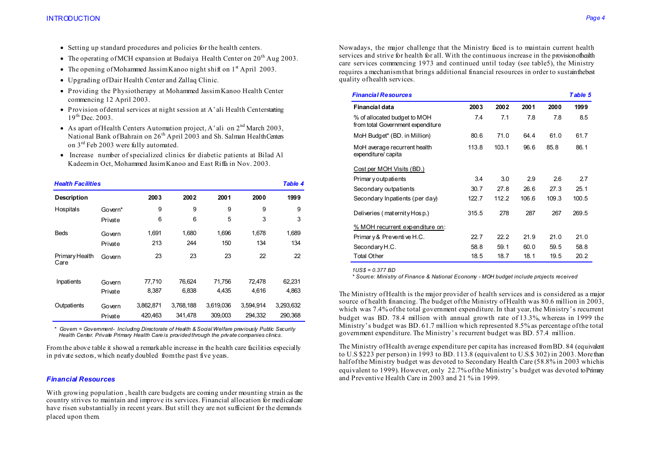- Setting up standard procedures and policies for the health centers.
- The operating of MCH expansion at Budaiya Health Center on  $20^{th}$  Aug 2003.
- The opening of Mohammed Jassim Kanoo night shift on  $1<sup>st</sup>$  April 2003.
- Upgrading of Dair Health Center and Zallaq Clinic.
- Providing the Physiotherapy at Mohammed Jassim Kanoo Health Center commencing 12 April 2003.
- Provision of dental services at night session at A'ali Health Center starting 19th Dec. 2003.
- As apart of Health Centers Automation project, A'ali on  $2<sup>nd</sup>$  March 2003, National Bank of Bahrain on 26<sup>th</sup> April 2003 and Sh. Salman Health Centers on 3rd Feb 2003 were fully automated.
- Increase number of specialized clinics for diabetic patients at Bilad Al Kadeem in Oct, Mohammed Jasim Kanoo and East Riffa in Nov. 2003.

| <b>Health Facilities</b> |         |           |           |           |           | Table 4   |
|--------------------------|---------|-----------|-----------|-----------|-----------|-----------|
| <b>Description</b>       |         | 2003      | 2002      | 2001      | 2000      | 1999      |
| Hospitals                | Govern* | 9         | 9         | 9         | 9         | 9         |
|                          | Private | 6         | 6         | 5         | 3         | 3         |
| <b>Beds</b>              | Govern  | 1,691     | 1,680     | 1,696     | 1.678     | 1,689     |
|                          | Private | 213       | 244       | 150       | 134       | 134       |
| Primary Health<br>Care   | Govern  | 23        | 23        | 23        | 22        | 22        |
| Inpatients               | Govern  | 77,710    | 76,624    | 71,756    | 72,478    | 62,231    |
|                          | Private | 8,387     | 6,838     | 4,435     | 4,616     | 4,863     |
| Outpatients              | Govern  | 3,862,871 | 3.768.188 | 3.619.036 | 3.594.914 | 3,293,632 |
|                          | Private | 420,463   | 341,478   | 309,003   | 294,332   | 290,368   |

 *\* Govern = Government- Including Directorate of Health & Social Welfare previously Public Security Health Center. Private Primary Health Care is provided through the private companies clinics.* 

From the above table it showed a remarkable increase in the health care facilities especially in private sectors, which nearly doubled from the past five years.

### *Financial Resources*

With growing population , health care budgets are coming under mounting strain as the country strives to maintain and improve its services. Financial allocation for medical care have risen substantially in recent years. But still they are not sufficient for the demands placed upon them.

Nowadays, the major challenge that the Ministry faced is to maintain current health services and strive for health for all. With the continuous increase in the provision of health care services commencing 1973 and continued until today (see table5), the Ministry requires a mechanism that brings additional financial resources in order to sustain the best quality of health services.

| <b>Financial Resources</b>                                        |       |       |       |       | Table 5 |
|-------------------------------------------------------------------|-------|-------|-------|-------|---------|
| <b>Financial data</b>                                             | 2003  | 2002  | 2001  | 2000  | 1999    |
| % of allocated budget to MOH<br>from total Government expenditure | 7.4   | 7.1   | 7.8   | 7.8   | 8.5     |
| MoH Budget* (BD. in Million)                                      | 80.6  | 71.0  | 64.4  | 61.0  | 61.7    |
| MoH average recurrent health<br>expenditure/capita                | 113.8 | 103.1 | 96.6  | 85.8  | 86.1    |
| Cost per MOH Visits (BD.)                                         |       |       |       |       |         |
| Primar y outpatients                                              | 3.4   | 3.0   | 2.9   | 2.6   | 2.7     |
| Secondary outpatients                                             | 30.7  | 27.8  | 26.6  | 27.3  | 25.1    |
| Secondary Inpatients (per day)                                    | 122.7 | 112.2 | 106.6 | 109.3 | 100.5   |
| Deliveries (maternity Hosp.)                                      | 315.5 | 278   | 287   | 267   | 269.5   |
| % MOH recurrent expenditure on:                                   |       |       |       |       |         |
| Primary & Preventive H.C.                                         | 22.7  | 22.2  | 21.9  | 21.0  | 21.0    |
| Secondary H.C.                                                    | 58.8  | 59.1  | 60.0  | 59.5  | 58.8    |
| <b>Total Other</b>                                                | 18.5  | 18.7  | 18.1  | 19.5  | 20.2    |

 *1US\$ = 0.377 BD* 

 *\* Source: Ministry of Finance & National Economy - MOH budget include projects received* 

The Ministry of Health is the major provider of health services and is considered as a major source of health financing. The budget of the Ministry of Health was 80.6 million in 2003, which was 7.4% of the total government expenditure. In that year, the Ministry's recurrent budget was BD. 78.4 million with annual growth rate of 13.3%, whereas in 1999 the Ministry's budget was BD, 61.7 million which represented 8.5% as percentage of the total government expenditure. The Ministry's recurrent budget was BD. 57.4 million.

The Ministry of Health average expenditure per capita has increased from BD. 84 (equivalent to U.S \$223 per person) in 1993 to BD. 113.8 (equivalent to U.S.\$ 302) in 2003. More than half of the Ministry budget was devoted to Secondary Health Care (58.8% in 2003 which is equivalent to 1999). However, only 22.7% of the Ministry's budget was devoted to Primary and Preventive Health Care in 2003 and 21 % in 1999.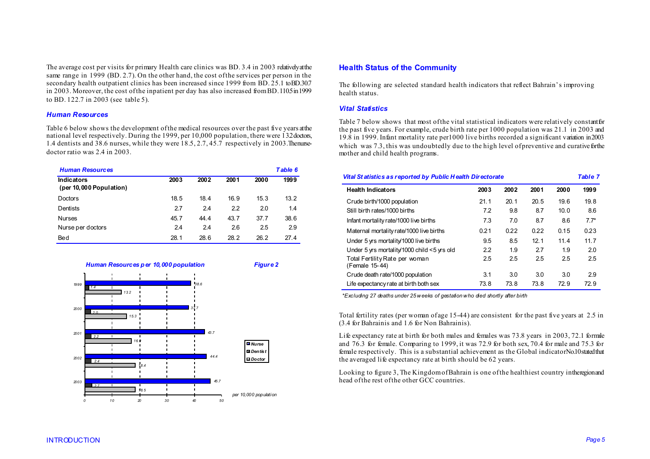The average cost per visits for primary Health care clinics was BD, 3.4 in 2003 relatively at the same range in 1999 (BD. 2.7). On the other hand, the cost of the services per person in the secondary health outpatient clinics has been increased since 1999 from BD. 25.1 to BD.30.7 in 2003. Moreover, the cost of the inpatient per day has also increased from BD. 1105 in 1999 to BD. 122.7 in 2003 (see table 5).

#### *Human Resources*

Table 6 below shows the development of the medical resources over the past five years at the national level respectively. During the 1999, per 10,000 population, there were 132 doctors, 1.4 dentists and 38.6 nurses, while they were  $18.5$ ,  $2.7$ ,  $45.7$  respectively in 2003. The nursedoctor ratio was 2.4 in 2003.

| <b>Human Resources</b>                       |      |      |      |      | Table 6 |
|----------------------------------------------|------|------|------|------|---------|
| <b>Indicators</b><br>(per 10,000 Population) | 2003 | 2002 | 2001 | 2000 | 1999    |
| Doctors                                      | 18.5 | 18.4 | 16.9 | 15.3 | 13.2    |
| Dentists                                     | 2.7  | 24   | 2.2  | 2.0  | 1.4     |
| <b>Nurses</b>                                | 45.7 | 44.4 | 43.7 | 37.7 | 38.6    |
| Nurse per doctors                            | 2.4  | 2.4  | 2.6  | 2.5  | 2.9     |
| Bed                                          | 28.1 | 28.6 | 28.2 | 26.2 | 27 4    |



### **Health Status of the Community**

The following are selected standard health indicators that reflect Bahrain's improving health status.

## *Vital Statistics*

Table 7 below shows that most of the vital statistical indicators were relatively constant for the past five years. For example, crude birth rate per 1000 population was 21.1 in 2003 and 19.8 in 1999. Infant mortality rate per1000 live births recorded a significant variation in 2003 which was  $7.3$ , this was undoubtedly due to the high level of preventive and curative for the mother and child health programs.

#### *Vital St atistics as reported by Public H ealth Directorate Table 7*

| <b>Health Indicators</b>                         | 2003 | 2002 | 2001            | 2000 | 1999   |
|--------------------------------------------------|------|------|-----------------|------|--------|
| Crude birth/1000 population                      | 21.1 | 20.1 | 20.5            | 19.6 | 19.8   |
| Still birth rates/1000 births                    | 7.2  | 9.8  | 8.7             | 10.0 | 8.6    |
| Infant mortality rate/1000 live births           | 7.3  | 7.0  | 8.7             | 8.6  | $7.7*$ |
| Maternal mortality rate/1000 live births         | 0.21 | 0.22 | 0.22            | 0.15 | 0.23   |
| Under 5 yrs mortality/1000 live births           | 9.5  | 8.5  | 12 <sub>1</sub> | 11.4 | 11.7   |
| Under 5 yrs mortality/1000 child <5 yrs old      | 2.2  | 1.9  | 2.7             | 1.9  | 2.0    |
| Total Fertility Rate per woman<br>(Female 15-44) | 2.5  | 2.5  | 2.5             | 2.5  | 2.5    |
| Crude death rate/1000 population                 | 3.1  | 3.0  | 3.0             | 3.0  | 2.9    |
| Life expectancy rate at birth both sex           | 73.8 | 73.8 | 73.8            | 72.9 | 72.9   |

 *\*Excluding 27 deaths under 25 weeks of gestation who died shortly after birth* 

Total fertility rates (per woman of age 15-44) are consistent for the past five years at 2.5 in (3.4 for Bahrainis and 1.6 for Non Bahrainis).

Life expectancy rate at birth for both males and females was  $73.8$  years in  $2003$ ,  $72.1$  formale and 76.3 for female. Comparing to 1999, it was 72.9 for both sex, 70.4 for male and 75.3 for female respectively. This is a substantial achievement as the Global indicator No.10 stated that the averaged life expectancy rate at birth should be 62 years.

Looking to figure 3, The Kingdom of Bahrain is one of the healthiest country in the region and head of the rest of the other GCC countries.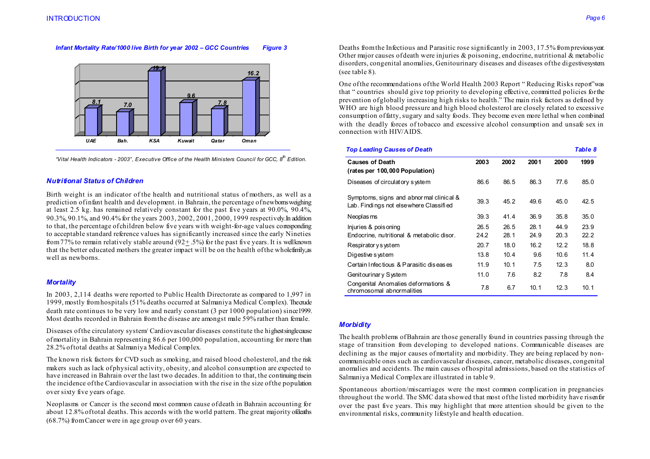#### *Infant Mortality Rate/1000 live Birth for year 2002 – GCC Countries Figure 3*



 *"Vital Health Indicators - 2003", Executive Office of the Health Ministers Council for GCC, 8th Edition.* 

#### *Nutritional Status of Children*

Birth weight is an indicator of the health and nutritional status of mothers, as well as a prediction of infant health and development. in Bahrain, the percentage of newborns weighing at least 2.5 kg. has remained relatively constant for the past five years at 90.0%, 90.4%, 90.3%, 90.1%, and 90.4% for the years 2003, 2002, 2001, 2000, 1999 respectively. In addition to that, the percentage of children below five years with weight-for-age values corresponding to acceptable standard reference values has significantly increased since the early Nineties from 77% to remain relatively stable around  $(92 + .5%)$  for the past five years. It is well known that the better educated mothers the greater impact will be on the health of the whole family, as well as newborns.

#### *Mortality*

In 2003, 2,114 deaths were reported to Public Health Directorate as compared to 1,997 in 1999, mostly from hospitals  $(51\%$  deaths occurred at Salmaniya Medical Complex). The crude death rate continues to be very low and nearly constant (3 per 1000 population) since 1999. Most deaths recorded in Bahrain from the disease are amongst male 59% rather than female.

Diseases of the circulatory system/ Cardiovascular diseases constitute the highest single cause of mortality in Bahrain representing 86.6 per 100,000 population, accounting for more than 28.2% of total deaths at Salmaniya Medical Complex.

The known risk factors for CVD such as smoking, and raised blood cholesterol, and the risk makers such as lack of physical activity, obesity, and alcohol consumption are expected to have increased in Bahrain over the last two decades. In addition to that, the continuing rise in the incidence of the Cardiovascular in association with the rise in the size of the population over sixty five years of age.

Neoplasms or Cancer is the second most common cause of death in Bahrain accounting for about 12.8% of total deaths. This accords with the world pattern. The great majority of deaths (68.7%) from Cancer were in age group over 60 years.

Deaths from the Infectious and Parasitic rose significantly in 2003, 17.5% from previous year. Other major causes of death were injuries & poisoning, endocrine, nutritional  $\&$  metabolic disorders, congenital anomalies. Genitourinary diseases and diseases of the digestive system. (see table 8).

One of the recommendations of the World Health 2003 Report " Reducing Risks report" was that " countries should give top priority to developing effective, committed policies for the prevention of globally increasing high risks to health." The main risk factors as defined by WHO are high blood pressure and high blood cholesterol are closely related to excessive consumption of fatty, sugary and salty foods. They become even more lethal when combined with the deadly forces of tobacco and excessive alcohol consumption and unsafe sex in connection with HIV/AIDS.

| <b>Top Leading Causes of Death</b>                                                |      |      |      |      | Table 8 |
|-----------------------------------------------------------------------------------|------|------|------|------|---------|
| <b>Causes of Death</b><br>(rates per 100,000 Population)                          | 2003 | 2002 | 2001 | 2000 | 1999    |
| Diseases of circulatory system                                                    | 86.6 | 86.5 | 86.3 | 77.6 | 85.0    |
| Symptoms, signs and abnormal clinical &<br>Lab. Findings not elsewhere Classified | 39.3 | 45.2 | 49.6 | 45.0 | 42.5    |
| Neoplas ms                                                                        | 39.3 | 41.4 | 36.9 | 35.8 | 35.0    |
| Injuries & pois oning                                                             | 26.5 | 26.5 | 28.1 | 44.9 | 23.9    |
| Endocrine, nutritional & metabolic disor.                                         | 24.2 | 28.1 | 24.9 | 20.3 | 22.2    |
| Respirator y system                                                               | 20.7 | 18.0 | 16.2 | 12.2 | 18.8    |
| Digestive system                                                                  | 13.8 | 10.4 | 9.6  | 10.6 | 11.4    |
| Certain Infectious & Parasitic diseases                                           | 11.9 | 10.1 | 7.5  | 12.3 | 8.0     |
| Genitourinary System                                                              | 11.0 | 7.6  | 8.2  | 7.8  | 8.4     |
| Congenital Anomalies deformations &<br>chromosomal abnormalities                  | 7.8  | 6.7  | 10.1 | 12.3 | 10.1    |

#### *Morbidity*

The health problems of Bahrain are those generally found in countries passing through the stage of transition from developing to developed nations. Communicable diseases are declining as the major causes of mortality and morbidity. They are being replaced by noncommunicable ones such as cardiovascular diseases, cancer, metabolic diseases, congenital anomalies and accidents. The main causes of hospital admissions, based on the statistics of Salmaniya Medical Complex are illustrated in table 9.

Spontaneous abortion/miscarriages were the most common complication in pregnancies throughout the world. The SMC data showed that most of the listed morbidity have risen for over the past five years. This may highlight that more attention should be given to the environmental risks, community lifestyle and health education.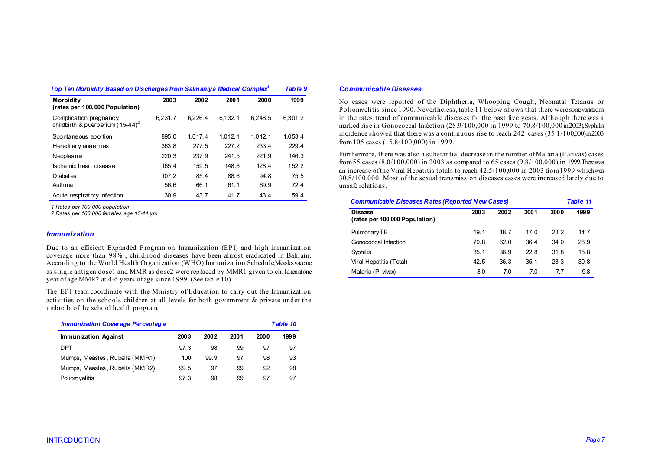| Top Ten Morbidity Based on Discharges from Salmaniya Medical Complex <sup>1</sup> |         |         |         |         | Table 9 |
|-----------------------------------------------------------------------------------|---------|---------|---------|---------|---------|
| <b>Morbidity</b><br>(rates per 100,000 Population)                                | 2003    | 2002    | 2001    | 2000    | 1999    |
| Complication pregnancy,<br>childbirth & puerperium ( $15-44$ ) <sup>2</sup>       | 6.231.7 | 6.226.4 | 6.132.1 | 6.248.5 | 6.301.2 |
| Spontaneous abortion                                                              | 895.0   | 1.017.4 | 1.012.1 | 1.012.1 | 1.053.4 |
| Herediter y anaemias                                                              | 363.8   | 277.5   | 227.2   | 233.4   | 229.4   |
| Neoplas ms                                                                        | 220.3   | 237.9   | 241.5   | 221.9   | 146.3   |
| Ischemic heart disease                                                            | 165.4   | 159.5   | 148.6   | 128.4   | 152.2   |
| Diabetes                                                                          | 107.2   | 85.4    | 88.6    | 94.8    | 75.5    |
| Asthma                                                                            | 56.6    | 66.1    | 61.1    | 69.9    | 72.4    |
| Acute respiratory infection                                                       | 30.9    | 43.7    | 41.7    | 43.4    | 59.4    |

*1 Rates per 100,000 population* 

*2 Rates per 100,000 females age 15-44 yrs* 

#### *Immunization*

Due to an efficient Expanded Program on Immunization (EPI) and high immunization coverage more than 98% , childhood diseases have been almost eradicated in Bahrain. According to the World Health Organization (WHO) Immunization Schedule, Measles vaccine as single antigen dose1 and MMR as dose2 were replaced by MMR1 given to children at one year of age MMR2 at 4-6 years of age since 1999. (See table 10)

The EPI team coordinate with the Ministry of Education to carry out the Immunization activities on the schools children at all levels for both government & private under the umbrella of the school health program.

| <b>Immunization Coverage Percentage</b> |      |      |      | <b>Table 10</b> |      |
|-----------------------------------------|------|------|------|-----------------|------|
| <b>Immunization Against</b>             | 2003 | 2002 | 2001 | 2000            | 1999 |
| DPT                                     | 97.3 | 98   | 99   | 97              | 97   |
| Mumps, Measles, Rubella (MMR1)          | 100  | 99.9 | 97   | 98              | 93   |
| Mumps, Measles, Rubella (MMR2)          | 99.5 | 97   | 99   | 92              | 98   |
| Poliomyelitis                           | 97.3 | 98   | 99   | 97              | 97   |

#### *Communicable Diseases*

No cases were reported of the Diphtheria, Whooping Cough, Neonatal Tetanus or Poliomyelitis since 1990. Nevertheless, table 11 below shows that there were some variations in the rates trend of communicable diseases for the past five years. Although there was a marked rise in Gonococcal Infection (28.9/100,000 in 1999 to 70.8/100,000 in 2003), Syphilis incidence showed that there was a continuous rise to reach  $242$  cases  $(35.1/100,000)$  in 2003 from 105 cases (15.8/100,000) in 1999.

Furthermore, there was also a substantial decrease in the number of Malaria (P.vivax) cases from 55 cases  $(8.0/100,000)$  in 2003 as compared to 65 cases  $(9.8/100,000)$  in 1999. There was an increase of the Viral Hepatitis totals to reach  $42.5/100,000$  in 2003 from 1999 which was 30.8/100,000. Most of the sexual transmission diseases cases were increased lately due to unsafe relations.

| <b>Communicable Diseases Rates (Reported New Cases)</b> |      |      |      |      | Table 11 |  |
|---------------------------------------------------------|------|------|------|------|----------|--|
| <b>Disease</b><br>(rates per 100,000 Population)        | 2003 | 2002 | 2001 | 2000 | 1999     |  |
| Pulmonary TB                                            | 19.1 | 18.7 | 17.0 | 23.2 | 14.7     |  |
| Gonococcal Infection                                    | 70.8 | 62.0 | 36.4 | 34.0 | 28.9     |  |
| Syphilis                                                | 35.1 | 36.9 | 22.8 | 31.8 | 15.8     |  |
| Viral Hepatitis (Total)                                 | 42.5 | 36.3 | 35.1 | 23.3 | 30.8     |  |
| Malaria (P. vivax)                                      | 8.0  | 7.0  | 7.0  | 7.7  | 9.8      |  |